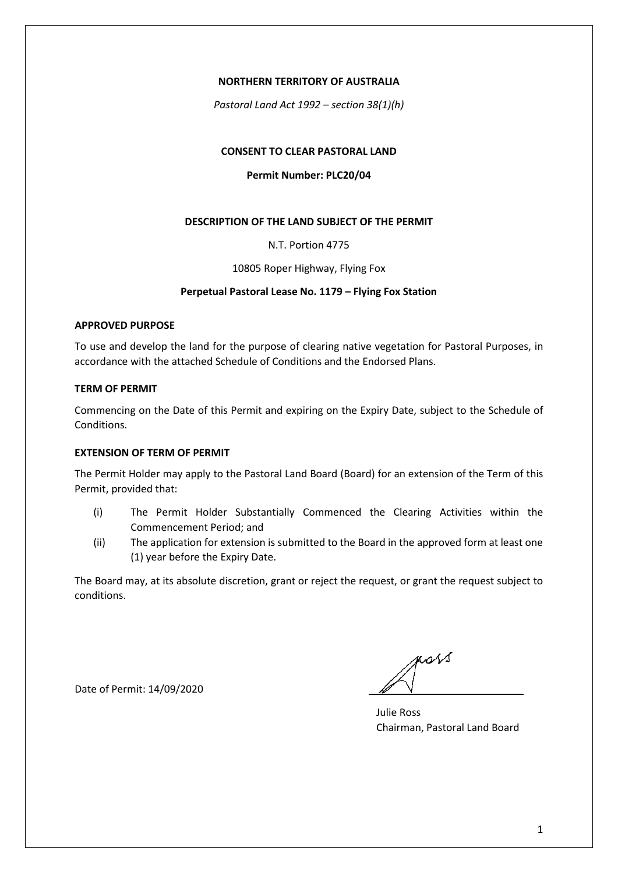### **NORTHERN TERRITORY OF AUSTRALIA**

*Pastoral Land Act 1992 – section 38(1)(h)*

# **CONSENT TO CLEAR PASTORAL LAND**

## **Permit Number: PLC20/04**

## **DESCRIPTION OF THE LAND SUBJECT OF THE PERMIT**

N.T. Portion 4775

10805 Roper Highway, Flying Fox

## **Perpetual Pastoral Lease No. 1179 – Flying Fox Station**

#### **APPROVED PURPOSE**

To use and develop the land for the purpose of clearing native vegetation for Pastoral Purposes, in accordance with the attached Schedule of Conditions and the Endorsed Plans.

### **TERM OF PERMIT**

Commencing on the Date of this Permit and expiring on the Expiry Date, subject to the Schedule of Conditions.

## **EXTENSION OF TERM OF PERMIT**

The Permit Holder may apply to the Pastoral Land Board (Board) for an extension of the Term of this Permit, provided that:

- (i) The Permit Holder Substantially Commenced the Clearing Activities within the Commencement Period; and
- (ii) The application for extension is submitted to the Board in the approved form at least one (1) year before the Expiry Date.

The Board may, at its absolute discretion, grant or reject the request, or grant the request subject to conditions.

Date of Permit: 14/09/2020

poss

Julie Ross Chairman, Pastoral Land Board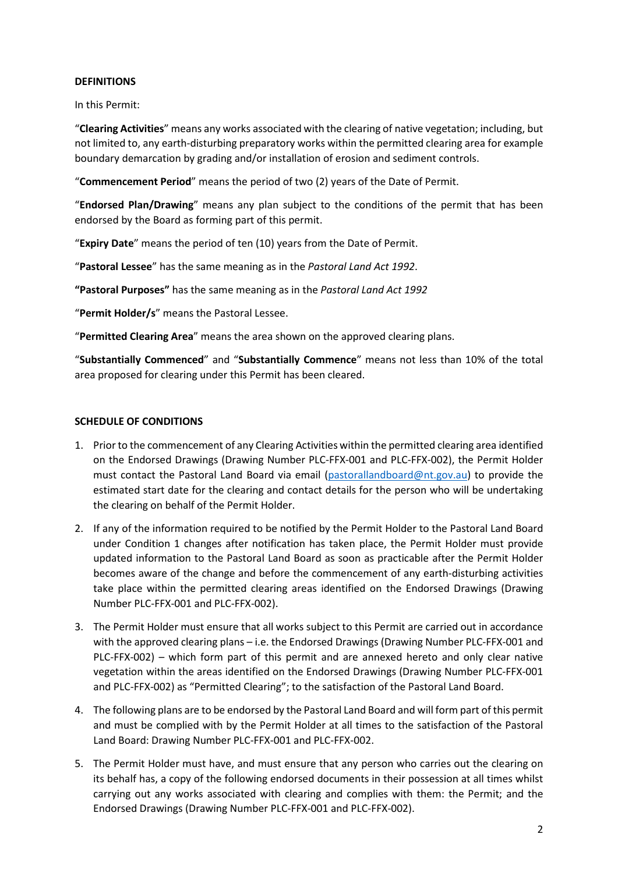# **DEFINITIONS**

In this Permit:

"**Clearing Activities**" means any works associated with the clearing of native vegetation; including, but not limited to, any earth-disturbing preparatory works within the permitted clearing area for example boundary demarcation by grading and/or installation of erosion and sediment controls.

"**Commencement Period**" means the period of two (2) years of the Date of Permit.

"**Endorsed Plan/Drawing**" means any plan subject to the conditions of the permit that has been endorsed by the Board as forming part of this permit.

"**Expiry Date**" means the period of ten (10) years from the Date of Permit.

"**Pastoral Lessee**" has the same meaning as in the *Pastoral Land Act 1992*.

**"Pastoral Purposes"** has the same meaning as in the *Pastoral Land Act 1992*

"**Permit Holder/s**" means the Pastoral Lessee.

"**Permitted Clearing Area**" means the area shown on the approved clearing plans.

"**Substantially Commenced**" and "**Substantially Commence**" means not less than 10% of the total area proposed for clearing under this Permit has been cleared.

# **SCHEDULE OF CONDITIONS**

- 1. Prior to the commencement of any Clearing Activities within the permitted clearing area identified on the Endorsed Drawings (Drawing Number PLC-FFX-001 and PLC-FFX-002), the Permit Holder must contact the Pastoral Land Board via email [\(pastorallandboard@nt.gov.au\)](mailto:pastorallandboard@nt.gov.au) to provide the estimated start date for the clearing and contact details for the person who will be undertaking the clearing on behalf of the Permit Holder.
- 2. If any of the information required to be notified by the Permit Holder to the Pastoral Land Board under Condition 1 changes after notification has taken place, the Permit Holder must provide updated information to the Pastoral Land Board as soon as practicable after the Permit Holder becomes aware of the change and before the commencement of any earth-disturbing activities take place within the permitted clearing areas identified on the Endorsed Drawings (Drawing Number PLC-FFX-001 and PLC-FFX-002).
- 3. The Permit Holder must ensure that all works subject to this Permit are carried out in accordance with the approved clearing plans – i.e. the Endorsed Drawings (Drawing Number PLC-FFX-001 and PLC-FFX-002) – which form part of this permit and are annexed hereto and only clear native vegetation within the areas identified on the Endorsed Drawings (Drawing Number PLC-FFX-001 and PLC-FFX-002) as "Permitted Clearing"; to the satisfaction of the Pastoral Land Board.
- 4. The following plans are to be endorsed by the Pastoral Land Board and will form part of this permit and must be complied with by the Permit Holder at all times to the satisfaction of the Pastoral Land Board: Drawing Number PLC-FFX-001 and PLC-FFX-002.
- 5. The Permit Holder must have, and must ensure that any person who carries out the clearing on its behalf has, a copy of the following endorsed documents in their possession at all times whilst carrying out any works associated with clearing and complies with them: the Permit; and the Endorsed Drawings (Drawing Number PLC-FFX-001 and PLC-FFX-002).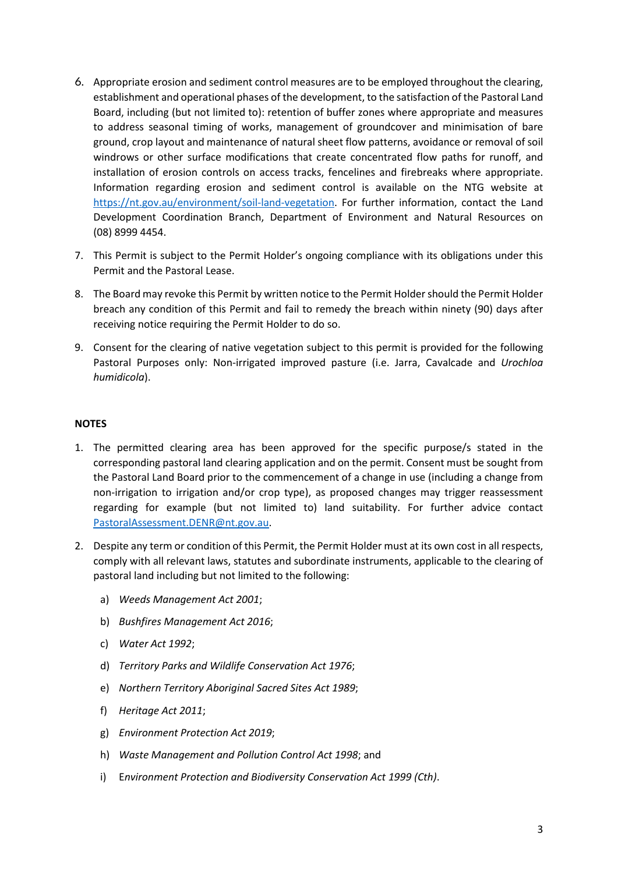- 6. Appropriate erosion and sediment control measures are to be employed throughout the clearing, establishment and operational phases of the development, to the satisfaction of the Pastoral Land Board, including (but not limited to): retention of buffer zones where appropriate and measures to address seasonal timing of works, management of groundcover and minimisation of bare ground, crop layout and maintenance of natural sheet flow patterns, avoidance or removal of soil windrows or other surface modifications that create concentrated flow paths for runoff, and installation of erosion controls on access tracks, fencelines and firebreaks where appropriate. Information regarding erosion and sediment control is available on the NTG website at [https://nt.gov.au/environment/soil-land-vegetation.](https://nt.gov.au/environment/soil-land-vegetation) For further information, contact the Land Development Coordination Branch, Department of Environment and Natural Resources on (08) 8999 4454.
- 7. This Permit is subject to the Permit Holder's ongoing compliance with its obligations under this Permit and the Pastoral Lease.
- 8. The Board may revoke this Permit by written notice to the Permit Holder should the Permit Holder breach any condition of this Permit and fail to remedy the breach within ninety (90) days after receiving notice requiring the Permit Holder to do so.
- 9. Consent for the clearing of native vegetation subject to this permit is provided for the following Pastoral Purposes only: Non-irrigated improved pasture (i.e. Jarra, Cavalcade and *Urochloa humidicola*).

# **NOTES**

- 1. The permitted clearing area has been approved for the specific purpose/s stated in the corresponding pastoral land clearing application and on the permit. Consent must be sought from the Pastoral Land Board prior to the commencement of a change in use (including a change from non-irrigation to irrigation and/or crop type), as proposed changes may trigger reassessment regarding for example (but not limited to) land suitability. For further advice contact [PastoralAssessment.DENR@nt.gov.au.](mailto:PastoralAssessment.DENR@nt.gov.au)
- 2. Despite any term or condition of this Permit, the Permit Holder must at its own cost in all respects, comply with all relevant laws, statutes and subordinate instruments, applicable to the clearing of pastoral land including but not limited to the following:
	- a) *Weeds Management Act 2001*;
	- b) *Bushfires Management Act 2016*;
	- c) *Water Act 1992*;
	- d) *Territory Parks and Wildlife Conservation Act 1976*;
	- e) *Northern Territory Aboriginal Sacred Sites Act 1989*;
	- f) *Heritage Act 2011*;
	- g) *Environment Protection Act 2019*;
	- h) *Waste Management and Pollution Control Act 1998*; and
	- i) E*nvironment Protection and Biodiversity Conservation Act 1999 (Cth)*.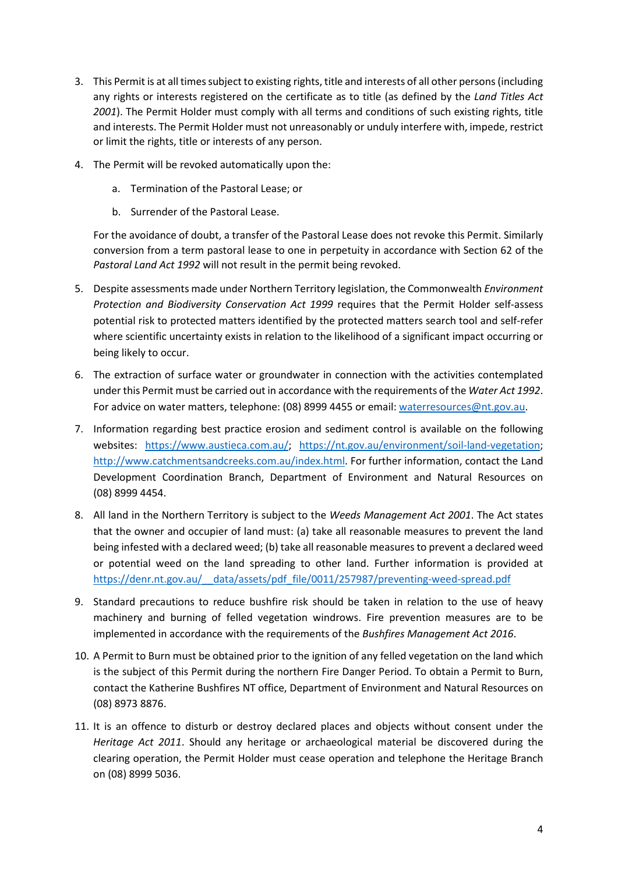- 3. This Permit is at all times subject to existing rights, title and interests of all other persons (including any rights or interests registered on the certificate as to title (as defined by the *Land Titles Act 2001*). The Permit Holder must comply with all terms and conditions of such existing rights, title and interests. The Permit Holder must not unreasonably or unduly interfere with, impede, restrict or limit the rights, title or interests of any person.
- 4. The Permit will be revoked automatically upon the:
	- a. Termination of the Pastoral Lease; or
	- b. Surrender of the Pastoral Lease.

For the avoidance of doubt, a transfer of the Pastoral Lease does not revoke this Permit. Similarly conversion from a term pastoral lease to one in perpetuity in accordance with Section 62 of the *Pastoral Land Act 1992* will not result in the permit being revoked.

- 5. Despite assessments made under Northern Territory legislation, the Commonwealth *Environment Protection and Biodiversity Conservation Act 1999* requires that the Permit Holder self-assess potential risk to protected matters identified by the protected matters search tool and self-refer where scientific uncertainty exists in relation to the likelihood of a significant impact occurring or being likely to occur.
- 6. The extraction of surface water or groundwater in connection with the activities contemplated under this Permit must be carried out in accordance with the requirements of the *Water Act 1992*. For advice on water matters, telephone: (08) 8999 4455 or email: [waterresources@nt.gov.au.](mailto:waterresources@nt.gov.au)
- 7. Information regarding best practice erosion and sediment control is available on the following websites: [https://www.austieca.com.au/;](https://www.austieca.com.au/) [https://nt.gov.au/environment/soil-land-vegetation;](https://nt.gov.au/environment/soil-land-vegetation) [http://www.catchmentsandcreeks.com.au/index.html.](http://www.catchmentsandcreeks.com.au/index.html) For further information, contact the Land Development Coordination Branch, Department of Environment and Natural Resources on (08) 8999 4454.
- 8. All land in the Northern Territory is subject to the *Weeds Management Act 2001*. The Act states that the owner and occupier of land must: (a) take all reasonable measures to prevent the land being infested with a declared weed; (b) take all reasonable measures to prevent a declared weed or potential weed on the land spreading to other land. Further information is provided at [https://denr.nt.gov.au/\\_\\_data/assets/pdf\\_file/0011/257987/preventing-weed-spread.pdf](https://denr.nt.gov.au/__data/assets/pdf_file/0011/257987/preventing-weed-spread.pdf)
- 9. Standard precautions to reduce bushfire risk should be taken in relation to the use of heavy machinery and burning of felled vegetation windrows. Fire prevention measures are to be implemented in accordance with the requirements of the *Bushfires Management Act 2016*.
- 10. A Permit to Burn must be obtained prior to the ignition of any felled vegetation on the land which is the subject of this Permit during the northern Fire Danger Period. To obtain a Permit to Burn, contact the Katherine Bushfires NT office, Department of Environment and Natural Resources on (08) 8973 8876.
- 11. It is an offence to disturb or destroy declared places and objects without consent under the *Heritage Act 2011*. Should any heritage or archaeological material be discovered during the clearing operation, the Permit Holder must cease operation and telephone the Heritage Branch on (08) 8999 5036.